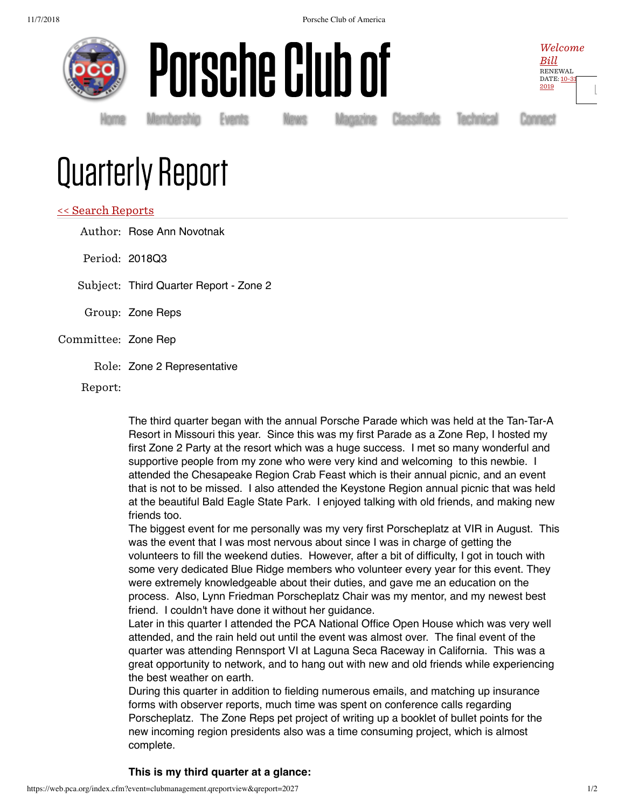11/7/2018 Porsche Club of America







[Ŀ](https://web.pca.org/index.cfm?event=general.logout)

Homė Membership Events News Magazine Classifieds Technical Connect

## Quarterly Report

## << Search Reports

Author: Rose Ann Novotnak

Period: 2018Q3

Subject: Third Quarter Report - Zone 2

- Group: Zone Reps
- Committee: Zone Rep
	- Role: Zone 2 Representative

Report:

The third quarter began with the annual Porsche Parade which was held at the Tan-Tar-A Resort in Missouri this year. Since this was my first Parade as a Zone Rep, I hosted my first Zone 2 Party at the resort which was a huge success. I met so many wonderful and supportive people from my zone who were very kind and welcoming to this newbie. I attended the Chesapeake Region Crab Feast which is their annual picnic, and an event that is not to be missed. I also attended the Keystone Region annual picnic that was held at the beautiful Bald Eagle State Park. I enjoyed talking with old friends, and making new friends too.

The biggest event for me personally was my very first Porscheplatz at VIR in August. This was the event that I was most nervous about since I was in charge of getting the volunteers to fill the weekend duties. However, after a bit of difficulty, I got in touch with some very dedicated Blue Ridge members who volunteer every year for this event. They were extremely knowledgeable about their duties, and gave me an education on the process. Also, Lynn Friedman Porscheplatz Chair was my mentor, and my newest best friend. I couldn't have done it without her guidance.

Later in this quarter I attended the PCA National Office Open House which was very well attended, and the rain held out until the event was almost over. The final event of the quarter was attending Rennsport VI at Laguna Seca Raceway in California. This was a great opportunity to network, and to hang out with new and old friends while experiencing the best weather on earth.

During this quarter in addition to fielding numerous emails, and matching up insurance forms with observer reports, much time was spent on conference calls regarding Porscheplatz. The Zone Reps pet project of writing up a booklet of bullet points for the new incoming region presidents also was a time consuming project, which is almost complete.

## **This is my third quarter at a glance:**